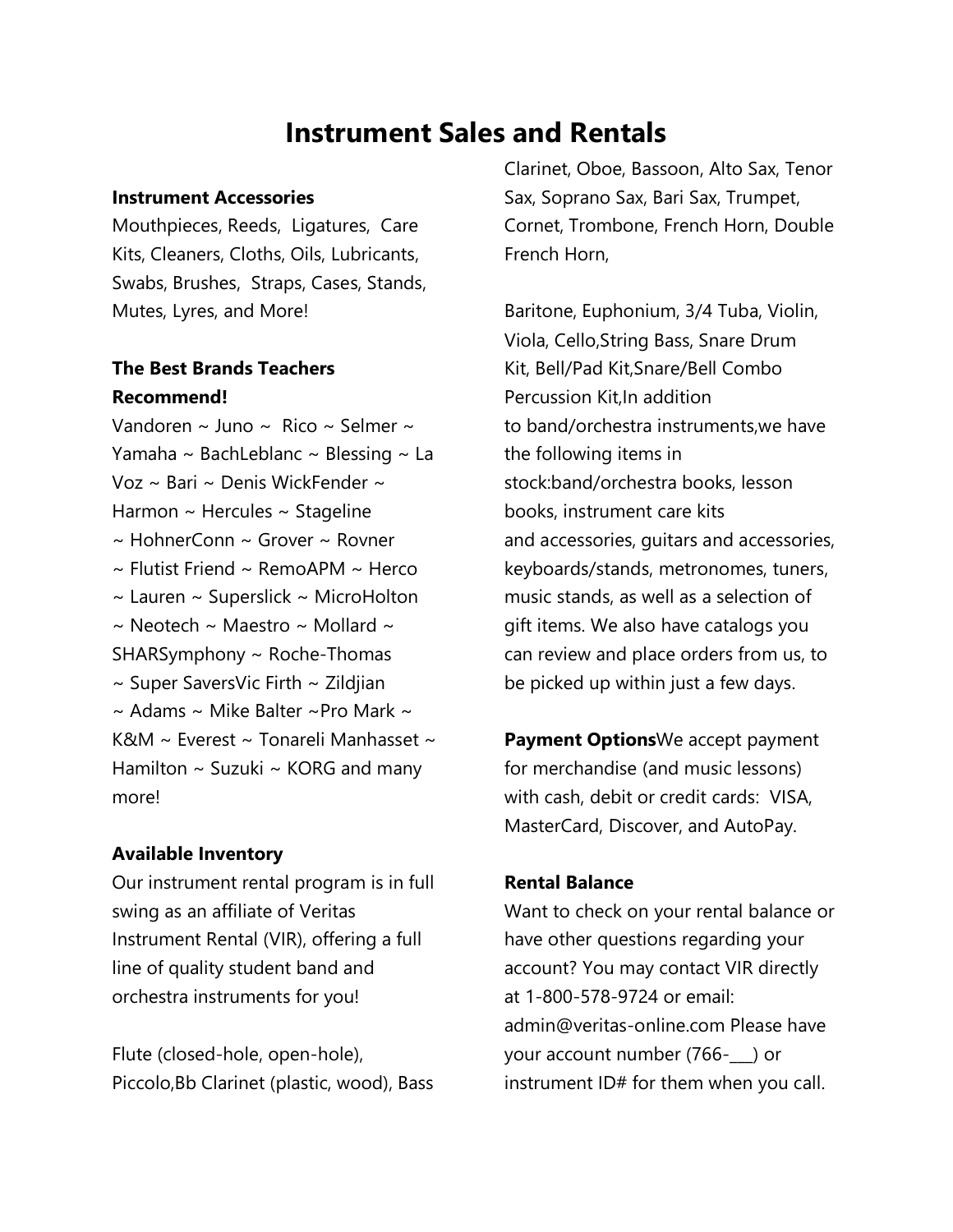# **Instrument Sales and Rentals**

#### **Instrument Accessories**

Mouthpieces, Reeds, Ligatures, Care Kits, Cleaners, Cloths, Oils, Lubricants, Swabs, Brushes, Straps, Cases, Stands, Mutes, Lyres, and More!

# **The Best Brands Teachers Recommend!**

Vandoren ~ Juno ~ Rico ~ Selmer ~ Yamaha ~ BachLeblanc ~ Blessing ~ La Voz ~ Bari ~ Denis WickFender ~ Harmon ~ Hercules ~ Stageline ~ HohnerConn ~ Grover ~ Rovner  $\sim$  Flutist Friend  $\sim$  RemoAPM  $\sim$  Herco  $\sim$  Lauren  $\sim$  Superslick  $\sim$  MicroHolton  $\sim$  Neotech  $\sim$  Maestro  $\sim$  Mollard  $\sim$ SHARSymphony ~ Roche-Thomas  $\sim$  Super SaversVic Firth  $\sim$  Zildjian  $\sim$  Adams  $\sim$  Mike Balter  $\sim$ Pro Mark  $\sim$ K&M ~ Everest ~ Tonareli Manhasset ~ Hamilton  $\sim$  Suzuki  $\sim$  KORG and many more!

# **Available Inventory**

Our instrument rental program is in full swing as an affiliate of Veritas Instrument Rental (VIR), offering a full line of quality student band and orchestra instruments for you!

Flute (closed-hole, open-hole), Piccolo,Bb Clarinet (plastic, wood), Bass Clarinet, Oboe, Bassoon, Alto Sax, Tenor Sax, Soprano Sax, Bari Sax, Trumpet, Cornet, Trombone, French Horn, Double French Horn,

Baritone, Euphonium, 3/4 Tuba, Violin, Viola, Cello,String Bass, Snare Drum Kit, Bell/Pad Kit,Snare/Bell Combo Percussion Kit,
In addition to band/orchestra instruments,
we have the following items in stock:
band/orchestra books, lesson books, instrument care kits and accessories, guitars and accessories, keyboards/stands, metronomes, tuners, music stands, as well as a selection of gift items. We also have catalogs you can review and place orders from us, to be picked up within just a few days.

**Payment Options**We accept payment for merchandise (and music lessons) with cash, debit or credit cards: VISA, MasterCard, Discover, and AutoPay.

# **Rental Balance**

Want to check on your rental balance or have other questions regarding your account? You may contact VIR directly at 1-800-578-9724 or email: admin@veritas-online.com Please have your account number (766-\_\_\_) or instrument ID# for them when you call.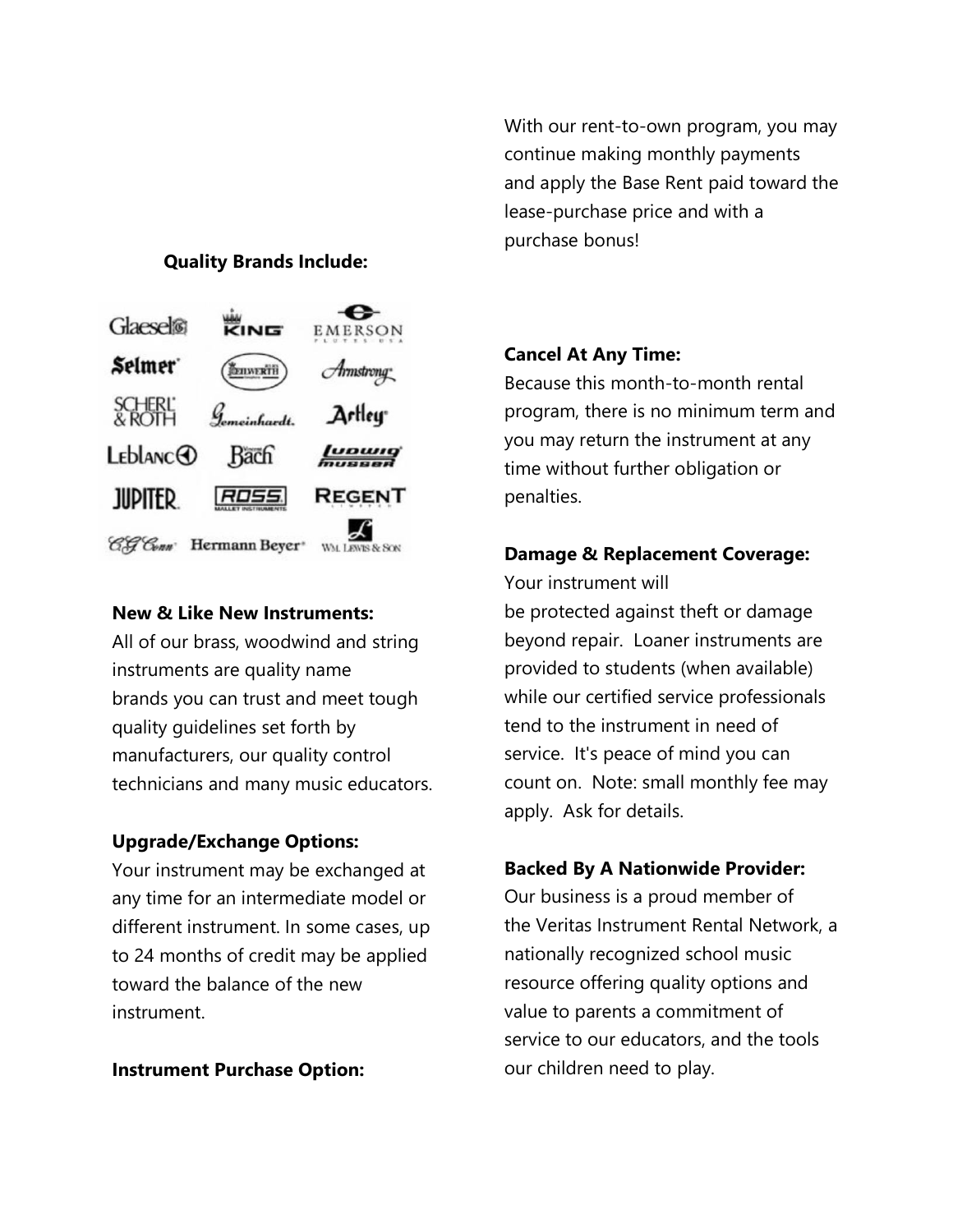## **Quality Brands Include:**



#### **New & Like New Instruments:**

All of our brass, woodwind and string instruments are quality name brands you can trust and meet tough quality guidelines set forth by manufacturers, our quality control technicians and many music educators.

## **Upgrade/Exchange Options:**

Your instrument may be exchanged at any time for an intermediate model or different instrument. In some cases, up to 24 months of credit may be applied toward the balance of the new instrument.

**Instrument Purchase Option:**

With our rent-to-own program, you may continue making monthly payments and apply the Base Rent paid toward the lease-purchase price and with a purchase bonus!

## **Cancel At Any Time:**

Because this month-to-month rental program, there is no minimum term and you may return the instrument at any time without further obligation or penalties.

## **Damage & Replacement Coverage:**

Your instrument will be protected against theft or damage beyond repair. Loaner instruments are provided to students (when available) while our certified service professionals tend to the instrument in need of service. It's peace of mind you can count on. Note: small monthly fee may apply. Ask for details.

# **Backed By A Nationwide Provider:**

Our business is a proud member of the Veritas Instrument Rental Network, a nationally recognized school music resource offering quality options and value to parents a commitment of service to our educators, and the tools our children need to play.